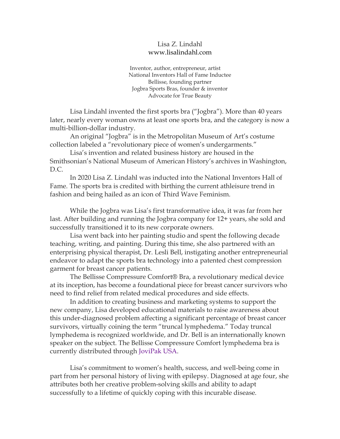## Lisa Z. Lindahl www.lisalindahl.com

Inventor, author, entrepreneur, artist National Inventors Hall of Fame Inductee Bellisse, founding partner Jogbra Sports Bras, founder & inventor Advocate for True Beauty

Lisa Lindahl invented the first sports bra ("Jogbra"). More than 40 years later, nearly every woman owns at least one sports bra, and the category is now a multi-billion-dollar industry.

An original "Jogbra" is in the Metropolitan Museum of Art's costume collection labeled a "revolutionary piece of women's undergarments."

Lisa's invention and related business history are housed in the Smithsonian's National Museum of American History's archives in Washington, D.C.

In 2020 Lisa Z. Lindahl was inducted into the National Inventors Hall of Fame. The sports bra is credited with birthing the current athleisure trend in fashion and being hailed as an icon of Third Wave Feminism.

While the Jogbra was Lisa's first transformative idea, it was far from her last. After building and running the Jogbra company for 12+ years, she sold and successfully transitioned it to its new corporate owners.

Lisa went back into her painting studio and spent the following decade teaching, writing, and painting. During this time, she also partnered with an enterprising physical therapist, Dr. Lesli Bell, instigating another entrepreneurial endeavor to adapt the sports bra technology into a patented chest compression garment for breast cancer patients.

The Bellisse Compressure Comfort® Bra, a revolutionary medical device at its inception, has become a foundational piece for breast cancer survivors who need to find relief from related medical procedures and side effects.

In addition to creating business and marketing systems to support the new company, Lisa developed educational materials to raise awareness about this under-diagnosed problem affecting a significant percentage of breast cancer survivors, virtually coining the term "truncal lymphedema." Today truncal lymphedema is recognized worldwide, and Dr. Bell is an internationally known speaker on the subject. The Bellisse Compressure Comfort lymphedema bra is currently distributed through [JoviPak USA.](http://www.jobst-usa.com/product/bellisse-bra/)

Lisa's commitment to women's health, success, and well-being come in part from her personal history of living with epilepsy. Diagnosed at age four, she attributes both her creative problem-solving skills and ability to adapt successfully to a lifetime of quickly coping with this incurable disease.